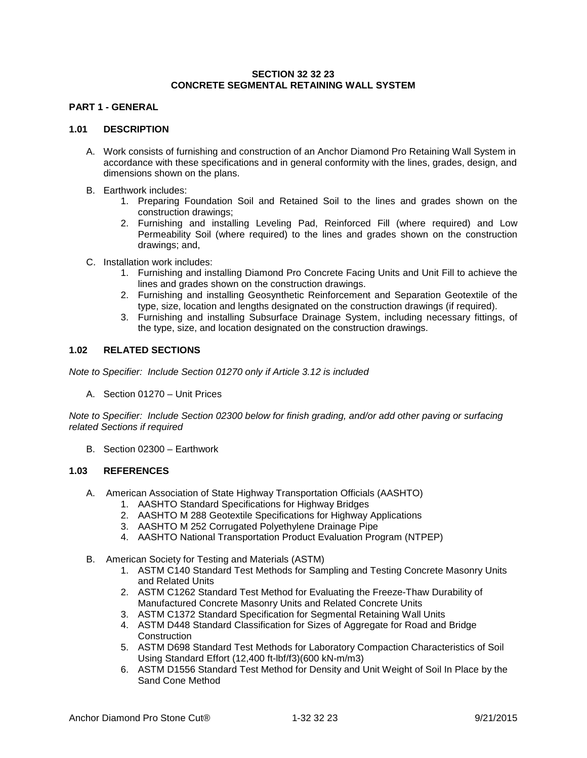### **SECTION 32 32 23 CONCRETE SEGMENTAL RETAINING WALL SYSTEM**

# **PART 1 - GENERAL**

#### **1.01 DESCRIPTION**

- A. Work consists of furnishing and construction of an Anchor Diamond Pro Retaining Wall System in accordance with these specifications and in general conformity with the lines, grades, design, and dimensions shown on the plans.
- B. Earthwork includes:
	- 1. Preparing Foundation Soil and Retained Soil to the lines and grades shown on the construction drawings;
	- 2. Furnishing and installing Leveling Pad, Reinforced Fill (where required) and Low Permeability Soil (where required) to the lines and grades shown on the construction drawings; and,
- C. Installation work includes:
	- 1. Furnishing and installing Diamond Pro Concrete Facing Units and Unit Fill to achieve the lines and grades shown on the construction drawings.
	- 2. Furnishing and installing Geosynthetic Reinforcement and Separation Geotextile of the type, size, location and lengths designated on the construction drawings (if required).
	- 3. Furnishing and installing Subsurface Drainage System, including necessary fittings, of the type, size, and location designated on the construction drawings.

# **1.02 RELATED SECTIONS**

*Note to Specifier: Include Section 01270 only if Article 3.12 is included*

A. Section 01270 – Unit Prices

*Note to Specifier: Include Section 02300 below for finish grading, and/or add other paving or surfacing related Sections if required*

B. Section 02300 – Earthwork

#### **1.03 REFERENCES**

- A. American Association of State Highway Transportation Officials (AASHTO)
	- 1. AASHTO Standard Specifications for Highway Bridges
	- 2. AASHTO M 288 Geotextile Specifications for Highway Applications
	- 3. AASHTO M 252 Corrugated Polyethylene Drainage Pipe
	- 4. AASHTO National Transportation Product Evaluation Program (NTPEP)
- B. American Society for Testing and Materials (ASTM)
	- 1. ASTM C140 Standard Test Methods for Sampling and Testing Concrete Masonry Units and Related Units
	- 2. ASTM C1262 Standard Test Method for Evaluating the Freeze-Thaw Durability of Manufactured Concrete Masonry Units and Related Concrete Units
	- 3. ASTM C1372 Standard Specification for Segmental Retaining Wall Units
	- 4. ASTM D448 Standard Classification for Sizes of Aggregate for Road and Bridge **Construction**
	- 5. ASTM D698 Standard Test Methods for Laboratory Compaction Characteristics of Soil Using Standard Effort (12,400 ft-lbf/f3)(600 kN-m/m3)
	- 6. ASTM D1556 Standard Test Method for Density and Unit Weight of Soil In Place by the Sand Cone Method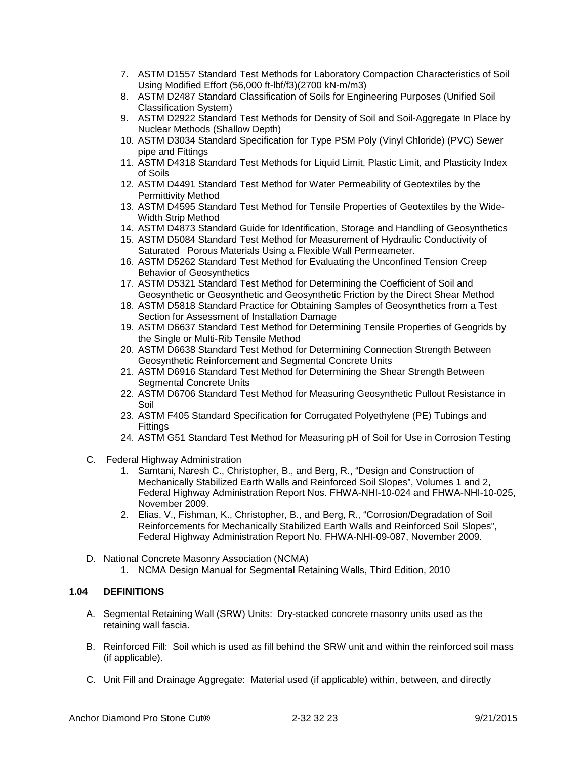- 7. ASTM D1557 Standard Test Methods for Laboratory Compaction Characteristics of Soil Using Modified Effort (56,000 ft-lbf/f3)(2700 kN-m/m3)
- 8. ASTM D2487 Standard Classification of Soils for Engineering Purposes (Unified Soil Classification System)
- 9. ASTM D2922 Standard Test Methods for Density of Soil and Soil-Aggregate In Place by Nuclear Methods (Shallow Depth)
- 10. ASTM D3034 Standard Specification for Type PSM Poly (Vinyl Chloride) (PVC) Sewer pipe and Fittings
- 11. ASTM D4318 Standard Test Methods for Liquid Limit, Plastic Limit, and Plasticity Index of Soils
- 12. ASTM D4491 Standard Test Method for Water Permeability of Geotextiles by the Permittivity Method
- 13. ASTM D4595 Standard Test Method for Tensile Properties of Geotextiles by the Wide-Width Strip Method
- 14. ASTM D4873 Standard Guide for Identification, Storage and Handling of Geosynthetics
- 15. ASTM D5084 Standard Test Method for Measurement of Hydraulic Conductivity of Saturated Porous Materials Using a Flexible Wall Permeameter.
- 16. ASTM D5262 Standard Test Method for Evaluating the Unconfined Tension Creep Behavior of Geosynthetics
- 17. ASTM D5321 Standard Test Method for Determining the Coefficient of Soil and Geosynthetic or Geosynthetic and Geosynthetic Friction by the Direct Shear Method
- 18. ASTM D5818 Standard Practice for Obtaining Samples of Geosynthetics from a Test Section for Assessment of Installation Damage
- 19. ASTM D6637 Standard Test Method for Determining Tensile Properties of Geogrids by the Single or Multi-Rib Tensile Method
- 20. ASTM D6638 Standard Test Method for Determining Connection Strength Between Geosynthetic Reinforcement and Segmental Concrete Units
- 21. ASTM D6916 Standard Test Method for Determining the Shear Strength Between Segmental Concrete Units
- 22. ASTM D6706 Standard Test Method for Measuring Geosynthetic Pullout Resistance in Soil
- 23. ASTM F405 Standard Specification for Corrugated Polyethylene (PE) Tubings and **Fittings**
- 24. ASTM G51 Standard Test Method for Measuring pH of Soil for Use in Corrosion Testing
- C. Federal Highway Administration
	- 1. Samtani, Naresh C., Christopher, B., and Berg, R., "Design and Construction of Mechanically Stabilized Earth Walls and Reinforced Soil Slopes", Volumes 1 and 2, Federal Highway Administration Report Nos. FHWA-NHI-10-024 and FHWA-NHI-10-025, November 2009.
	- 2. Elias, V., Fishman, K., Christopher, B., and Berg, R., "Corrosion/Degradation of Soil Reinforcements for Mechanically Stabilized Earth Walls and Reinforced Soil Slopes", Federal Highway Administration Report No. FHWA-NHI-09-087, November 2009.
- D. National Concrete Masonry Association (NCMA)
	- 1. NCMA Design Manual for Segmental Retaining Walls, Third Edition, 2010

# **1.04 DEFINITIONS**

- A. Segmental Retaining Wall (SRW) Units: Dry-stacked concrete masonry units used as the retaining wall fascia.
- B. Reinforced Fill: Soil which is used as fill behind the SRW unit and within the reinforced soil mass (if applicable).
- C. Unit Fill and Drainage Aggregate: Material used (if applicable) within, between, and directly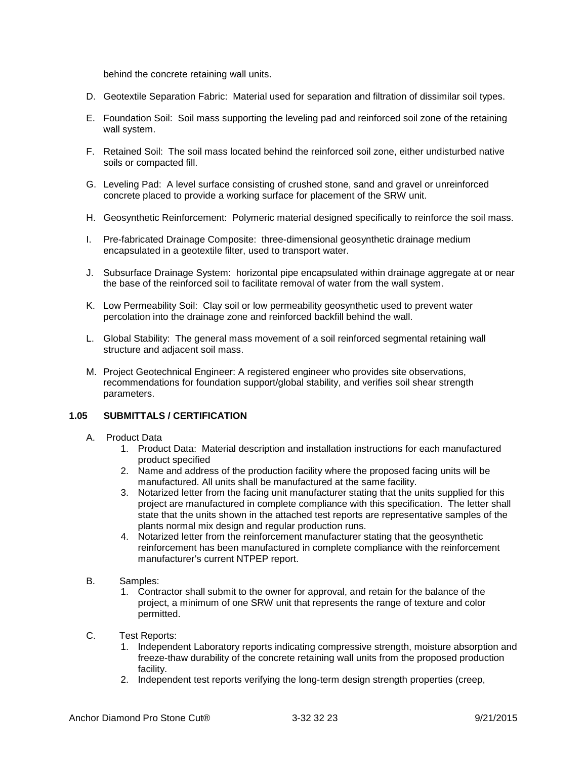behind the concrete retaining wall units.

- D. Geotextile Separation Fabric: Material used for separation and filtration of dissimilar soil types.
- E. Foundation Soil: Soil mass supporting the leveling pad and reinforced soil zone of the retaining wall system.
- F. Retained Soil: The soil mass located behind the reinforced soil zone, either undisturbed native soils or compacted fill.
- G. Leveling Pad: A level surface consisting of crushed stone, sand and gravel or unreinforced concrete placed to provide a working surface for placement of the SRW unit.
- H. Geosynthetic Reinforcement: Polymeric material designed specifically to reinforce the soil mass.
- I. Pre-fabricated Drainage Composite: three-dimensional geosynthetic drainage medium encapsulated in a geotextile filter, used to transport water.
- J. Subsurface Drainage System: horizontal pipe encapsulated within drainage aggregate at or near the base of the reinforced soil to facilitate removal of water from the wall system.
- K. Low Permeability Soil: Clay soil or low permeability geosynthetic used to prevent water percolation into the drainage zone and reinforced backfill behind the wall.
- L. Global Stability: The general mass movement of a soil reinforced segmental retaining wall structure and adjacent soil mass.
- M. Project Geotechnical Engineer: A registered engineer who provides site observations, recommendations for foundation support/global stability, and verifies soil shear strength parameters.

#### **1.05 SUBMITTALS / CERTIFICATION**

- A. Product Data
	- 1. Product Data: Material description and installation instructions for each manufactured product specified
	- 2. Name and address of the production facility where the proposed facing units will be manufactured. All units shall be manufactured at the same facility.
	- 3. Notarized letter from the facing unit manufacturer stating that the units supplied for this project are manufactured in complete compliance with this specification. The letter shall state that the units shown in the attached test reports are representative samples of the plants normal mix design and regular production runs.
	- 4. Notarized letter from the reinforcement manufacturer stating that the geosynthetic reinforcement has been manufactured in complete compliance with the reinforcement manufacturer's current NTPEP report.
- B. Samples:
	- 1. Contractor shall submit to the owner for approval, and retain for the balance of the project, a minimum of one SRW unit that represents the range of texture and color permitted.
- C. Test Reports:
	- 1. Independent Laboratory reports indicating compressive strength, moisture absorption and freeze-thaw durability of the concrete retaining wall units from the proposed production facility.
	- 2. Independent test reports verifying the long-term design strength properties (creep,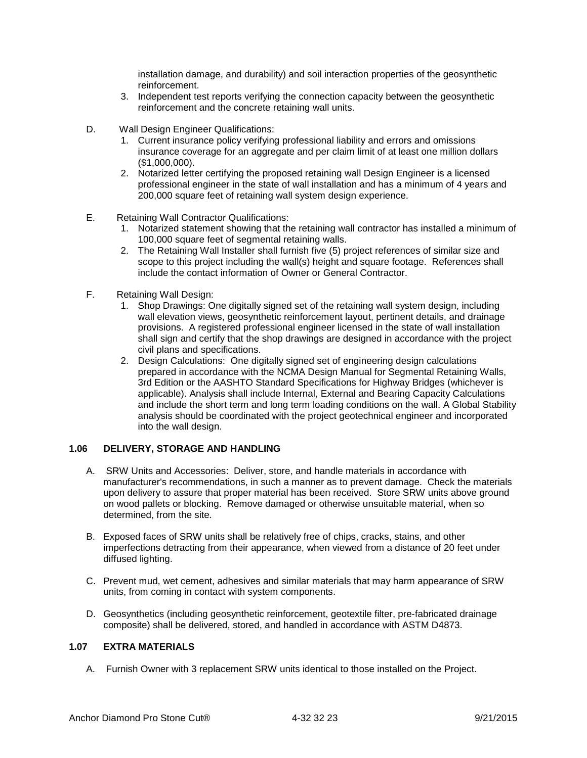installation damage, and durability) and soil interaction properties of the geosynthetic reinforcement.

- 3. Independent test reports verifying the connection capacity between the geosynthetic reinforcement and the concrete retaining wall units.
- D. Wall Design Engineer Qualifications:
	- 1. Current insurance policy verifying professional liability and errors and omissions insurance coverage for an aggregate and per claim limit of at least one million dollars (\$1,000,000).
	- 2. Notarized letter certifying the proposed retaining wall Design Engineer is a licensed professional engineer in the state of wall installation and has a minimum of 4 years and 200,000 square feet of retaining wall system design experience.
- E. Retaining Wall Contractor Qualifications:
	- 1. Notarized statement showing that the retaining wall contractor has installed a minimum of 100,000 square feet of segmental retaining walls.
	- 2. The Retaining Wall Installer shall furnish five (5) project references of similar size and scope to this project including the wall(s) height and square footage. References shall include the contact information of Owner or General Contractor.
- F. Retaining Wall Design:
	- 1. Shop Drawings: One digitally signed set of the retaining wall system design, including wall elevation views, geosynthetic reinforcement layout, pertinent details, and drainage provisions. A registered professional engineer licensed in the state of wall installation shall sign and certify that the shop drawings are designed in accordance with the project civil plans and specifications.
	- 2. Design Calculations: One digitally signed set of engineering design calculations prepared in accordance with the NCMA Design Manual for Segmental Retaining Walls, 3rd Edition or the AASHTO Standard Specifications for Highway Bridges (whichever is applicable). Analysis shall include Internal, External and Bearing Capacity Calculations and include the short term and long term loading conditions on the wall. A Global Stability analysis should be coordinated with the project geotechnical engineer and incorporated into the wall design.

# **1.06 DELIVERY, STORAGE AND HANDLING**

- A. SRW Units and Accessories: Deliver, store, and handle materials in accordance with manufacturer's recommendations, in such a manner as to prevent damage. Check the materials upon delivery to assure that proper material has been received. Store SRW units above ground on wood pallets or blocking. Remove damaged or otherwise unsuitable material, when so determined, from the site.
- B. Exposed faces of SRW units shall be relatively free of chips, cracks, stains, and other imperfections detracting from their appearance, when viewed from a distance of 20 feet under diffused lighting.
- C. Prevent mud, wet cement, adhesives and similar materials that may harm appearance of SRW units, from coming in contact with system components.
- D. Geosynthetics (including geosynthetic reinforcement, geotextile filter, pre-fabricated drainage composite) shall be delivered, stored, and handled in accordance with ASTM D4873.

### **1.07 EXTRA MATERIALS**

A. Furnish Owner with 3 replacement SRW units identical to those installed on the Project.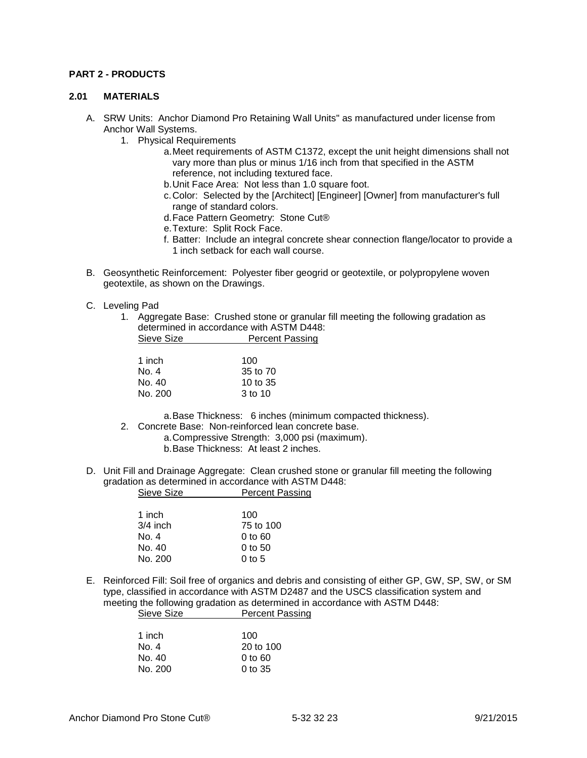#### **PART 2 - PRODUCTS**

#### **2.01 MATERIALS**

- A. SRW Units: Anchor Diamond Pro Retaining Wall Units" as manufactured under license from Anchor Wall Systems.
	- 1. Physical Requirements
		- a.Meet requirements of ASTM C1372, except the unit height dimensions shall not vary more than plus or minus 1/16 inch from that specified in the ASTM reference, not including textured face.
		- b.Unit Face Area: Not less than 1.0 square foot.
		- c.Color: Selected by the [Architect] [Engineer] [Owner] from manufacturer's full range of standard colors.
		- d.Face Pattern Geometry: Stone Cut®
		- e.Texture: Split Rock Face.
		- f. Batter: Include an integral concrete shear connection flange/locator to provide a 1 inch setback for each wall course.
- B. Geosynthetic Reinforcement: Polyester fiber geogrid or geotextile, or polypropylene woven geotextile, as shown on the Drawings.
- C. Leveling Pad
	- 1. Aggregate Base: Crushed stone or granular fill meeting the following gradation as determined in accordance with ASTM D448: Sieve Size **Percent Passing**

| 1 inch  | 100      |
|---------|----------|
| No. 4   | 35 to 70 |
| No. 40  | 10 to 35 |
| No. 200 | 3 to 10  |

a.Base Thickness: 6 inches (minimum compacted thickness).

- 2. Concrete Base: Non-reinforced lean concrete base.
	- a.Compressive Strength: 3,000 psi (maximum).
		- b.Base Thickness: At least 2 inches.
- D. Unit Fill and Drainage Aggregate: Clean crushed stone or granular fill meeting the following gradation as determined in accordance with ASTM D448: Sieve Size **Percent Passing**

| 1 inch     | 100                            |
|------------|--------------------------------|
| $3/4$ inch | 75 to 100                      |
| No. 4      | $0$ to $60$                    |
| No. 40     | $0$ to 50                      |
| No. 200    | 0 <sub>to</sub> 5 <sub>0</sub> |
|            |                                |

E. Reinforced Fill: Soil free of organics and debris and consisting of either GP, GW, SP, SW, or SM type, classified in accordance with ASTM D2487 and the USCS classification system and meeting the following gradation as determined in accordance with ASTM D448: Sieve Size **Percent Passing** 

| 1 inch  | 100       |
|---------|-----------|
| No. 4   | 20 to 100 |
| No. 40  | 0 to 60   |
| No. 200 | $0$ to 35 |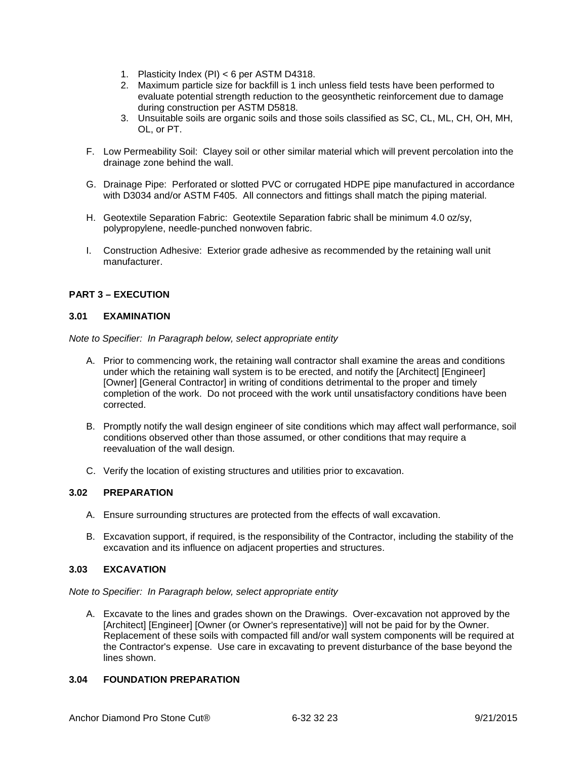- 1. Plasticity Index (PI) < 6 per ASTM D4318.
- 2. Maximum particle size for backfill is 1 inch unless field tests have been performed to evaluate potential strength reduction to the geosynthetic reinforcement due to damage during construction per ASTM D5818.
- 3. Unsuitable soils are organic soils and those soils classified as SC, CL, ML, CH, OH, MH, OL, or PT.
- F. Low Permeability Soil: Clayey soil or other similar material which will prevent percolation into the drainage zone behind the wall.
- G. Drainage Pipe: Perforated or slotted PVC or corrugated HDPE pipe manufactured in accordance with D3034 and/or ASTM F405. All connectors and fittings shall match the piping material.
- H. Geotextile Separation Fabric: Geotextile Separation fabric shall be minimum 4.0 oz/sy, polypropylene, needle-punched nonwoven fabric.
- I. Construction Adhesive: Exterior grade adhesive as recommended by the retaining wall unit manufacturer.

# **PART 3 – EXECUTION**

### **3.01 EXAMINATION**

*Note to Specifier: In Paragraph below, select appropriate entity*

- A. Prior to commencing work, the retaining wall contractor shall examine the areas and conditions under which the retaining wall system is to be erected, and notify the [Architect] [Engineer] [Owner] [General Contractor] in writing of conditions detrimental to the proper and timely completion of the work. Do not proceed with the work until unsatisfactory conditions have been corrected.
- B. Promptly notify the wall design engineer of site conditions which may affect wall performance, soil conditions observed other than those assumed, or other conditions that may require a reevaluation of the wall design.
- C. Verify the location of existing structures and utilities prior to excavation.

#### **3.02 PREPARATION**

- A. Ensure surrounding structures are protected from the effects of wall excavation.
- B. Excavation support, if required, is the responsibility of the Contractor, including the stability of the excavation and its influence on adjacent properties and structures.

# **3.03 EXCAVATION**

*Note to Specifier: In Paragraph below, select appropriate entity*

A. Excavate to the lines and grades shown on the Drawings. Over-excavation not approved by the [Architect] [Engineer] [Owner (or Owner's representative)] will not be paid for by the Owner. Replacement of these soils with compacted fill and/or wall system components will be required at the Contractor's expense. Use care in excavating to prevent disturbance of the base beyond the lines shown.

# **3.04 FOUNDATION PREPARATION**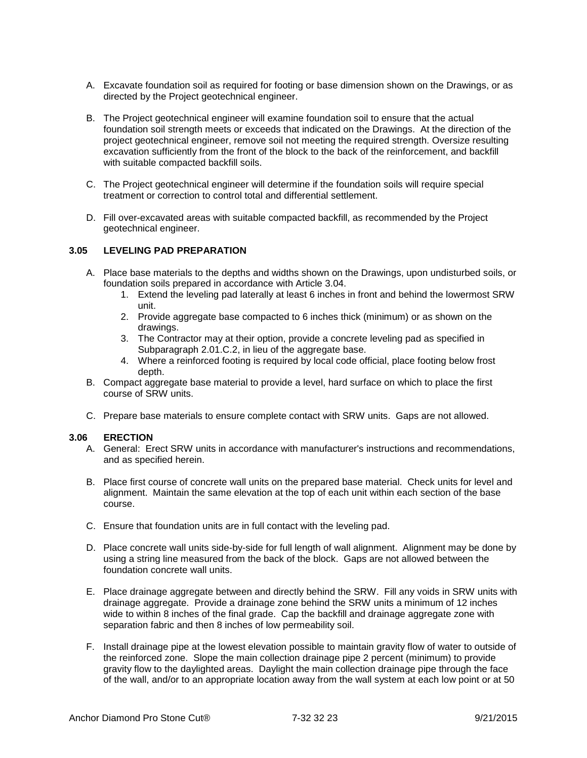- A. Excavate foundation soil as required for footing or base dimension shown on the Drawings, or as directed by the Project geotechnical engineer.
- B. The Project geotechnical engineer will examine foundation soil to ensure that the actual foundation soil strength meets or exceeds that indicated on the Drawings. At the direction of the project geotechnical engineer, remove soil not meeting the required strength. Oversize resulting excavation sufficiently from the front of the block to the back of the reinforcement, and backfill with suitable compacted backfill soils.
- C. The Project geotechnical engineer will determine if the foundation soils will require special treatment or correction to control total and differential settlement.
- D. Fill over-excavated areas with suitable compacted backfill, as recommended by the Project geotechnical engineer.

#### **3.05 LEVELING PAD PREPARATION**

- A. Place base materials to the depths and widths shown on the Drawings, upon undisturbed soils, or foundation soils prepared in accordance with Article 3.04.
	- 1. Extend the leveling pad laterally at least 6 inches in front and behind the lowermost SRW unit.
	- 2. Provide aggregate base compacted to 6 inches thick (minimum) or as shown on the drawings.
	- 3. The Contractor may at their option, provide a concrete leveling pad as specified in Subparagraph 2.01.C.2, in lieu of the aggregate base.
	- 4. Where a reinforced footing is required by local code official, place footing below frost depth.
- B. Compact aggregate base material to provide a level, hard surface on which to place the first course of SRW units.
- C. Prepare base materials to ensure complete contact with SRW units. Gaps are not allowed.

#### **3.06 ERECTION**

- A. General: Erect SRW units in accordance with manufacturer's instructions and recommendations, and as specified herein.
- B. Place first course of concrete wall units on the prepared base material. Check units for level and alignment. Maintain the same elevation at the top of each unit within each section of the base course.
- C. Ensure that foundation units are in full contact with the leveling pad.
- D. Place concrete wall units side-by-side for full length of wall alignment. Alignment may be done by using a string line measured from the back of the block. Gaps are not allowed between the foundation concrete wall units.
- E. Place drainage aggregate between and directly behind the SRW. Fill any voids in SRW units with drainage aggregate. Provide a drainage zone behind the SRW units a minimum of 12 inches wide to within 8 inches of the final grade. Cap the backfill and drainage aggregate zone with separation fabric and then 8 inches of low permeability soil.
- F. Install drainage pipe at the lowest elevation possible to maintain gravity flow of water to outside of the reinforced zone. Slope the main collection drainage pipe 2 percent (minimum) to provide gravity flow to the daylighted areas. Daylight the main collection drainage pipe through the face of the wall, and/or to an appropriate location away from the wall system at each low point or at 50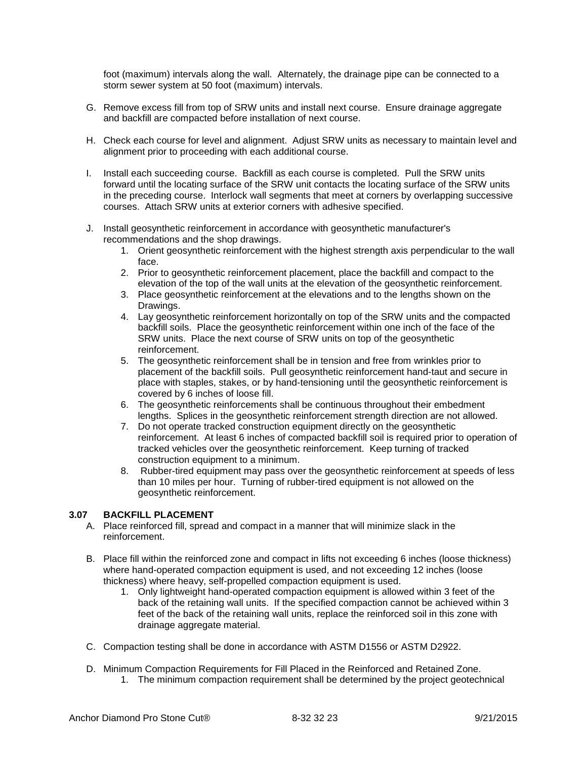foot (maximum) intervals along the wall. Alternately, the drainage pipe can be connected to a storm sewer system at 50 foot (maximum) intervals.

- G. Remove excess fill from top of SRW units and install next course. Ensure drainage aggregate and backfill are compacted before installation of next course.
- H. Check each course for level and alignment. Adjust SRW units as necessary to maintain level and alignment prior to proceeding with each additional course.
- I. Install each succeeding course. Backfill as each course is completed. Pull the SRW units forward until the locating surface of the SRW unit contacts the locating surface of the SRW units in the preceding course. Interlock wall segments that meet at corners by overlapping successive courses. Attach SRW units at exterior corners with adhesive specified.
- J. Install geosynthetic reinforcement in accordance with geosynthetic manufacturer's recommendations and the shop drawings.
	- 1. Orient geosynthetic reinforcement with the highest strength axis perpendicular to the wall face.
	- 2. Prior to geosynthetic reinforcement placement, place the backfill and compact to the elevation of the top of the wall units at the elevation of the geosynthetic reinforcement.
	- 3. Place geosynthetic reinforcement at the elevations and to the lengths shown on the Drawings.
	- 4. Lay geosynthetic reinforcement horizontally on top of the SRW units and the compacted backfill soils. Place the geosynthetic reinforcement within one inch of the face of the SRW units. Place the next course of SRW units on top of the geosynthetic reinforcement.
	- 5. The geosynthetic reinforcement shall be in tension and free from wrinkles prior to placement of the backfill soils. Pull geosynthetic reinforcement hand-taut and secure in place with staples, stakes, or by hand-tensioning until the geosynthetic reinforcement is covered by 6 inches of loose fill.
	- 6. The geosynthetic reinforcements shall be continuous throughout their embedment lengths. Splices in the geosynthetic reinforcement strength direction are not allowed.
	- 7. Do not operate tracked construction equipment directly on the geosynthetic reinforcement. At least 6 inches of compacted backfill soil is required prior to operation of tracked vehicles over the geosynthetic reinforcement. Keep turning of tracked construction equipment to a minimum.
	- 8. Rubber-tired equipment may pass over the geosynthetic reinforcement at speeds of less than 10 miles per hour. Turning of rubber-tired equipment is not allowed on the geosynthetic reinforcement.

# **3.07 BACKFILL PLACEMENT**

- A. Place reinforced fill, spread and compact in a manner that will minimize slack in the reinforcement.
- B. Place fill within the reinforced zone and compact in lifts not exceeding 6 inches (loose thickness) where hand-operated compaction equipment is used, and not exceeding 12 inches (loose thickness) where heavy, self-propelled compaction equipment is used.
	- 1. Only lightweight hand-operated compaction equipment is allowed within 3 feet of the back of the retaining wall units. If the specified compaction cannot be achieved within 3 feet of the back of the retaining wall units, replace the reinforced soil in this zone with drainage aggregate material.
- C. Compaction testing shall be done in accordance with ASTM D1556 or ASTM D2922.
- D. Minimum Compaction Requirements for Fill Placed in the Reinforced and Retained Zone. 1. The minimum compaction requirement shall be determined by the project geotechnical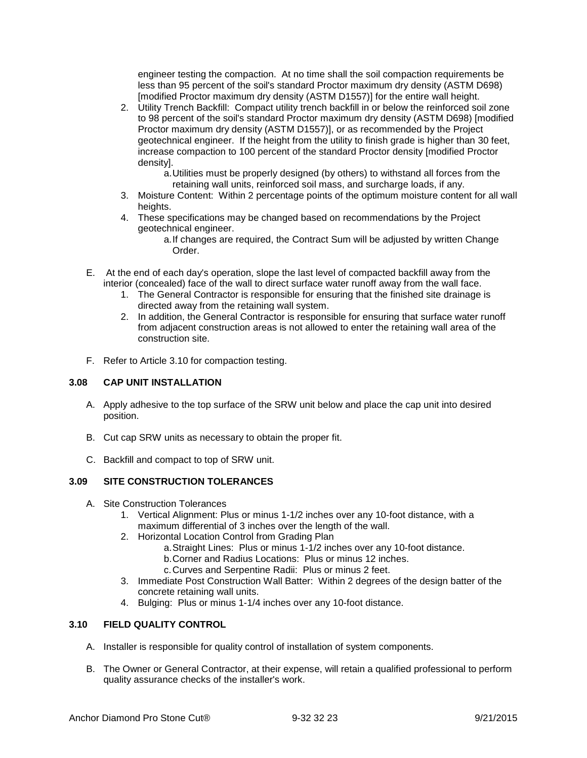engineer testing the compaction. At no time shall the soil compaction requirements be less than 95 percent of the soil's standard Proctor maximum dry density (ASTM D698) [modified Proctor maximum dry density (ASTM D1557)] for the entire wall height.

- 2. Utility Trench Backfill: Compact utility trench backfill in or below the reinforced soil zone to 98 percent of the soil's standard Proctor maximum dry density (ASTM D698) [modified Proctor maximum dry density (ASTM D1557)], or as recommended by the Project geotechnical engineer. If the height from the utility to finish grade is higher than 30 feet, increase compaction to 100 percent of the standard Proctor density [modified Proctor density].
	- a.Utilities must be properly designed (by others) to withstand all forces from the retaining wall units, reinforced soil mass, and surcharge loads, if any.
- 3. Moisture Content: Within 2 percentage points of the optimum moisture content for all wall heights.
- 4. These specifications may be changed based on recommendations by the Project geotechnical engineer.
	- a.If changes are required, the Contract Sum will be adjusted by written Change Order.
- E. At the end of each day's operation, slope the last level of compacted backfill away from the interior (concealed) face of the wall to direct surface water runoff away from the wall face.
	- 1. The General Contractor is responsible for ensuring that the finished site drainage is directed away from the retaining wall system.
	- 2. In addition, the General Contractor is responsible for ensuring that surface water runoff from adjacent construction areas is not allowed to enter the retaining wall area of the construction site.
- F. Refer to Article 3.10 for compaction testing.

# **3.08 CAP UNIT INSTALLATION**

- A. Apply adhesive to the top surface of the SRW unit below and place the cap unit into desired position.
- B. Cut cap SRW units as necessary to obtain the proper fit.
- C. Backfill and compact to top of SRW unit.

# **3.09 SITE CONSTRUCTION TOLERANCES**

- A. Site Construction Tolerances
	- 1. Vertical Alignment: Plus or minus 1-1/2 inches over any 10-foot distance, with a maximum differential of 3 inches over the length of the wall.
	- 2. Horizontal Location Control from Grading Plan
		- a.Straight Lines: Plus or minus 1-1/2 inches over any 10-foot distance.
		- b.Corner and Radius Locations: Plus or minus 12 inches.
		- c.Curves and Serpentine Radii: Plus or minus 2 feet.
	- 3. Immediate Post Construction Wall Batter: Within 2 degrees of the design batter of the concrete retaining wall units.
	- 4. Bulging: Plus or minus 1-1/4 inches over any 10-foot distance.

# **3.10 FIELD QUALITY CONTROL**

- A. Installer is responsible for quality control of installation of system components.
- B. The Owner or General Contractor, at their expense, will retain a qualified professional to perform quality assurance checks of the installer's work.